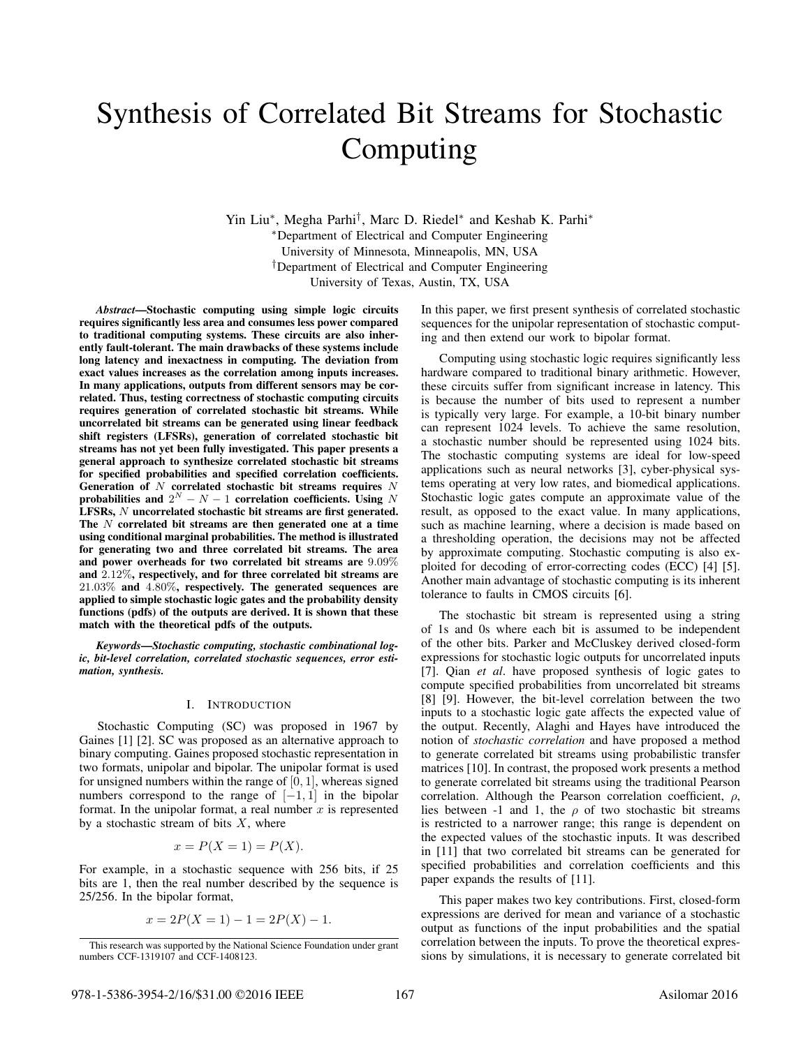# Synthesis of Correlated Bit Streams for Stochastic Computing

Yin Liu∗, Megha Parhi*†*, Marc D. Riedel∗ and Keshab K. Parhi∗ ∗Department of Electrical and Computer Engineering University of Minnesota, Minneapolis, MN, USA *†*Department of Electrical and Computer Engineering University of Texas, Austin, TX, USA

*Abstract*—Stochastic computing using simple logic circuits requires significantly less area and consumes less power compared to traditional computing systems. These circuits are also inherently fault-tolerant. The main drawbacks of these systems include long latency and inexactness in computing. The deviation from exact values increases as the correlation among inputs increases. In many applications, outputs from different sensors may be correlated. Thus, testing correctness of stochastic computing circuits requires generation of correlated stochastic bit streams. While uncorrelated bit streams can be generated using linear feedback shift registers (LFSRs), generation of correlated stochastic bit streams has not yet been fully investigated. This paper presents a general approach to synthesize correlated stochastic bit streams for specified probabilities and specified correlation coefficients. Generation of *N* correlated stochastic bit streams requires *N* probabilities and  $2^N - N - 1$  correlation coefficients. Using *N* LFSRs, *N* uncorrelated stochastic bit streams are first generated. The *N* correlated bit streams are then generated one at a time using conditional marginal probabilities. The method is illustrated for generating two and three correlated bit streams. The area and power overheads for two correlated bit streams are 9*.*09% and 2*.*12%, respectively, and for three correlated bit streams are 21*.*03% and 4*.*80%, respectively. The generated sequences are applied to simple stochastic logic gates and the probability density functions (pdfs) of the outputs are derived. It is shown that these match with the theoretical pdfs of the outputs.

*Keywords*—*Stochastic computing, stochastic combinational logic, bit-level correlation, correlated stochastic sequences, error estimation, synthesis.*

### I. INTRODUCTION

Stochastic Computing (SC) was proposed in 1967 by Gaines [1] [2]. SC was proposed as an alternative approach to binary computing. Gaines proposed stochastic representation in two formats, unipolar and bipolar. The unipolar format is used for unsigned numbers within the range of [0*,* 1], whereas signed numbers correspond to the range of  $[-1, 1]$  in the bipolar format. In the unipolar format, a real number *x* is represented by a stochastic stream of bits *X*, where

$$
x = P(X = 1) = P(X).
$$

For example, in a stochastic sequence with 256 bits, if 25 bits are 1, then the real number described by the sequence is 25/256. In the bipolar format,

$$
x = 2P(X = 1) - 1 = 2P(X) - 1.
$$

In this paper, we first present synthesis of correlated stochastic sequences for the unipolar representation of stochastic computing and then extend our work to bipolar format.

Computing using stochastic logic requires significantly less hardware compared to traditional binary arithmetic. However, these circuits suffer from significant increase in latency. This is because the number of bits used to represent a number is typically very large. For example, a 10-bit binary number can represent 1024 levels. To achieve the same resolution, a stochastic number should be represented using 1024 bits. The stochastic computing systems are ideal for low-speed applications such as neural networks [3], cyber-physical systems operating at very low rates, and biomedical applications. Stochastic logic gates compute an approximate value of the result, as opposed to the exact value. In many applications, such as machine learning, where a decision is made based on a thresholding operation, the decisions may not be affected by approximate computing. Stochastic computing is also exploited for decoding of error-correcting codes (ECC) [4] [5]. Another main advantage of stochastic computing is its inherent tolerance to faults in CMOS circuits [6].

The stochastic bit stream is represented using a string of 1s and 0s where each bit is assumed to be independent of the other bits. Parker and McCluskey derived closed-form expressions for stochastic logic outputs for uncorrelated inputs [7]. Qian *et al*. have proposed synthesis of logic gates to compute specified probabilities from uncorrelated bit streams [8] [9]. However, the bit-level correlation between the two inputs to a stochastic logic gate affects the expected value of the output. Recently, Alaghi and Hayes have introduced the notion of *stochastic correlation* and have proposed a method to generate correlated bit streams using probabilistic transfer matrices [10]. In contrast, the proposed work presents a method to generate correlated bit streams using the traditional Pearson correlation. Although the Pearson correlation coefficient,  $\rho$ , lies between -1 and 1, the  $\rho$  of two stochastic bit streams is restricted to a narrower range; this range is dependent on the expected values of the stochastic inputs. It was described in [11] that two correlated bit streams can be generated for specified probabilities and correlation coefficients and this paper expands the results of [11].

This paper makes two key contributions. First, closed-form expressions are derived for mean and variance of a stochastic output as functions of the input probabilities and the spatial correlation between the inputs. To prove the theoretical expressions by simulations, it is necessary to generate correlated bit

This research was supported by the National Science Foundation under grant numbers CCF-1319107 and CCF-1408123.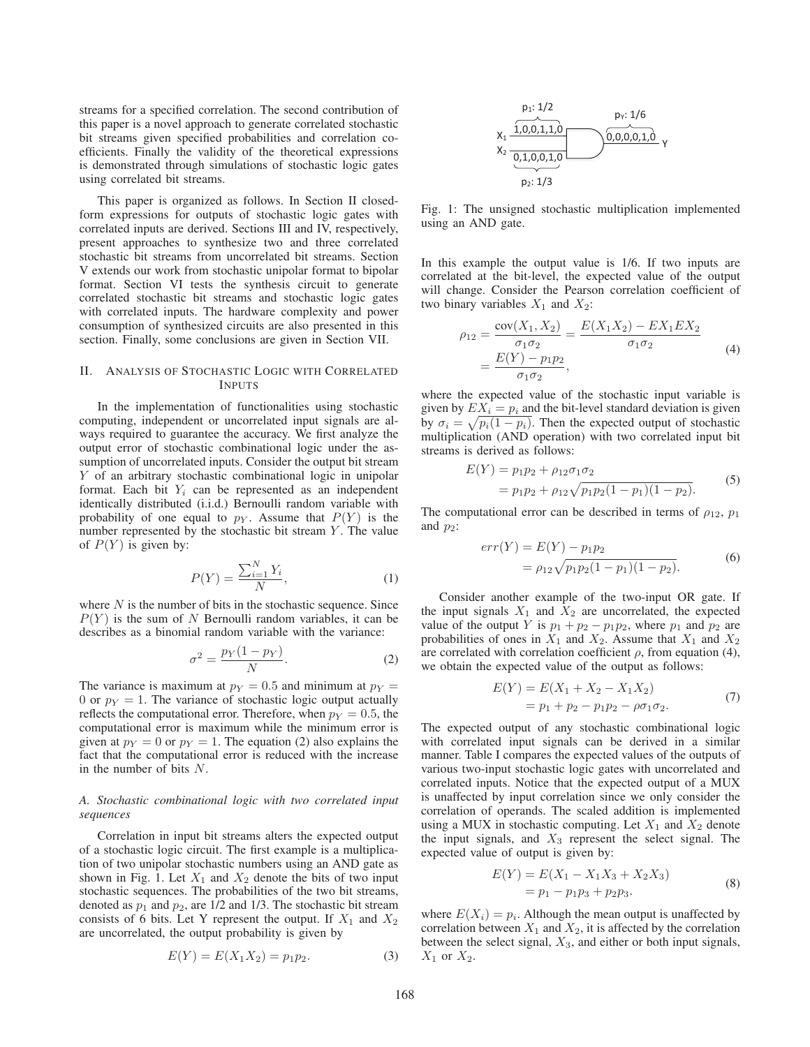streams for a specified correlation. The second contribution of this paper is a novel approach to generate correlated stochastic bit streams given specified probabilities and correlation coefficients. Finally the validity of the theoretical expressions is demonstrated through simulations of stochastic logic gates using correlated bit streams.

This paper is organized as follows. In Section II closedform expressions for outputs of stochastic logic gates with correlated inputs are derived. Sections III and IV, respectively, present approaches to synthesize two and three correlated stochastic bit streams from uncorrelated bit streams. Section V extends our work from stochastic unipolar format to bipolar format. Section VI tests the synthesis circuit to generate correlated stochastic bit streams and stochastic logic gates with correlated inputs. The hardware complexity and power consumption of synthesized circuits are also presented in this section. Finally, some conclusions are given in Section VII.

# II. ANALYSIS OF STOCHASTIC LOGIC WITH CORRELATED INPUTS

In the implementation of functionalities using stochastic computing, independent or uncorrelated input signals are always required to guarantee the accuracy. We first analyze the output error of stochastic combinational logic under the assumption of uncorrelated inputs. Consider the output bit stream *Y* of an arbitrary stochastic combinational logic in unipolar format. Each bit  $Y_i$  can be represented as an independent identically distributed (i.i.d.) Bernoulli random variable with probability of one equal to  $p_Y$ . Assume that  $P(Y)$  is the number represented by the stochastic bit stream *Y* . The value of  $P(Y)$  is given by:

$$
P(Y) = \frac{\sum_{i=1}^{N} Y_i}{N},\tag{1}
$$

where  $N$  is the number of bits in the stochastic sequence. Since  $P(Y)$  is the sum of *N* Bernoulli random variables, it can be describes as a binomial random variable with the variance:

$$
\sigma^2 = \frac{p_Y(1 - p_Y)}{N}.
$$
\n(2)

The variance is maximum at  $p_Y = 0.5$  and minimum at  $p_Y = 0$ 0 or  $p_Y = 1$ . The variance of stochastic logic output actually reflects the computational error. Therefore, when  $p_Y = 0.5$ , the computational error is maximum while the minimum error is given at  $p_Y = 0$  or  $p_Y = 1$ . The equation (2) also explains the fact that the computational error is reduced with the increase in the number of bits *N*.

## *A. Stochastic combinational logic with two correlated input sequences*

Correlation in input bit streams alters the expected output of a stochastic logic circuit. The first example is a multiplication of two unipolar stochastic numbers using an AND gate as shown in Fig. 1. Let  $X_1$  and  $X_2$  denote the bits of two input stochastic sequences. The probabilities of the two bit streams, denoted as  $p_1$  and  $p_2$ , are  $1/2$  and  $1/3$ . The stochastic bit stream consists of 6 bits. Let Y represent the output. If  $X_1$  and  $X_2$ are uncorrelated, the output probability is given by

$$
E(Y) = E(X_1 X_2) = p_1 p_2.
$$
 (3)



Fig. 1: The unsigned stochastic multiplication implemented using an AND gate.

In this example the output value is 1/6. If two inputs are correlated at the bit-level, the expected value of the output will change. Consider the Pearson correlation coefficient of two binary variables  $X_1$  and  $X_2$ :

$$
\rho_{12} = \frac{\text{cov}(X_1, X_2)}{\sigma_1 \sigma_2} = \frac{E(X_1 X_2) - EX_1 EX_2}{\sigma_1 \sigma_2}
$$
  
=  $\frac{E(Y) - p_1 p_2}{\sigma_1 \sigma_2}$ , (4)

where the expected value of the stochastic input variable is given by  $EX_i = p_i$  and the bit-level standard deviation is given by  $\sigma_i = \sqrt{p_i(1 - p_i)}$ . Then the expected output of stochastic multiplication (AND operation) with two correlated input bit streams is derived as follows:

$$
E(Y) = p_1 p_2 + \rho_{12} \sigma_1 \sigma_2
$$
  
=  $p_1 p_2 + \rho_{12} \sqrt{p_1 p_2 (1 - p_1)(1 - p_2)}$ . (5)

The computational error can be described in terms of  $\rho_{12}$ ,  $p_1$ and  $p_2$ :

$$
err(Y) = E(Y) - p_1 p_2
$$
  
=  $\rho_{12} \sqrt{p_1 p_2 (1 - p_1)(1 - p_2)}$ . (6)

Consider another example of the two-input OR gate. If the input signals  $X_1$  and  $X_2$  are uncorrelated, the expected value of the output *Y* is  $p_1 + p_2 - p_1p_2$ , where  $p_1$  and  $p_2$  are probabilities of ones in  $X_1$  and  $X_2$ . Assume that  $X_1$  and  $X_2$ are correlated with correlation coefficient  $\rho$ , from equation (4), we obtain the expected value of the output as follows:

$$
E(Y) = E(X_1 + X_2 - X_1 X_2)
$$
  
=  $p_1 + p_2 - p_1 p_2 - \rho \sigma_1 \sigma_2$ . (7)

The expected output of any stochastic combinational logic with correlated input signals can be derived in a similar manner. Table I compares the expected values of the outputs of various two-input stochastic logic gates with uncorrelated and correlated inputs. Notice that the expected output of a MUX is unaffected by input correlation since we only consider the correlation of operands. The scaled addition is implemented using a MUX in stochastic computing. Let  $X_1$  and  $X_2$  denote the input signals, and *X*<sup>3</sup> represent the select signal. The expected value of output is given by:

$$
E(Y) = E(X_1 - X_1X_3 + X_2X_3)
$$
  
=  $p_1 - p_1p_3 + p_2p_3$ . (8)

where  $E(X_i) = p_i$ . Although the mean output is unaffected by correlation between  $X_1$  and  $X_2$ , it is affected by the correlation between the select signal, *X*3, and either or both input signals,  $X_1$  or  $X_2$ .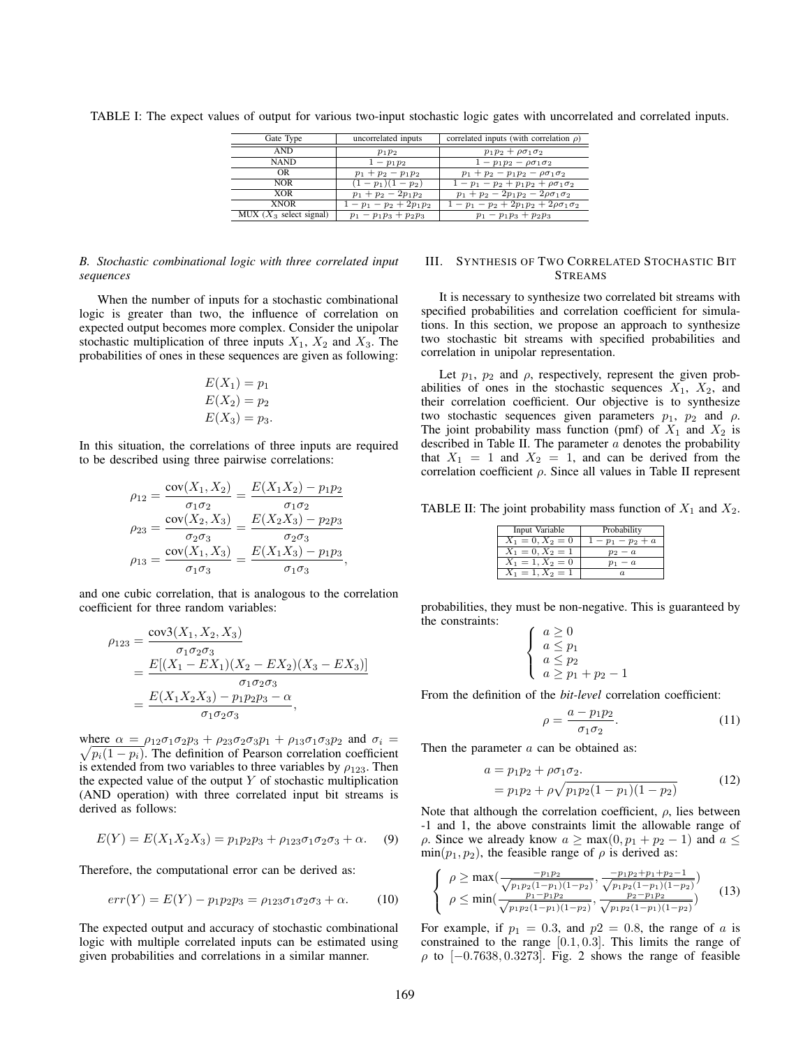| Gate Type                 | uncorrelated inputs       | correlated inputs (with correlation $\rho$ )   |
|---------------------------|---------------------------|------------------------------------------------|
| <b>AND</b>                | $p_1p_2$                  | $p_1p_2 + \rho \sigma_1 \sigma_2$              |
| <b>NAND</b>               | $1-p_1p_2$                | $1 - p_1 p_2 - \rho \sigma_1 \sigma_2$         |
| OR.                       | $p_1 + p_2 - p_1 p_2$     | $p_1 + p_2 - p_1 p_2 - \rho \sigma_1 \sigma_2$ |
| <b>NOR</b>                | $(1-p_1)(1-p_2)$          | $1-p_1-p_2+p_1p_2+\rho\sigma_1\sigma_2$        |
| <b>XOR</b>                | $p_1 + p_2 - 2p_1p_2$     | $p_1 + p_2 - 2p_1p_2 - 2\rho\sigma_1\sigma_2$  |
| <b>XNOR</b>               | $1-p_1-p_2+2p_1p_2$       | $1-p_1-p_2+2p_1p_2+2\rho\sigma_1\sigma_2$      |
| MUX $(X_3$ select signal) | $p_1 - p_1 p_3 + p_2 p_3$ | $p_1 - p_1 p_3 + p_2 p_3$                      |

TABLE I: The expect values of output for various two-input stochastic logic gates with uncorrelated and correlated inputs.

# *B. Stochastic combinational logic with three correlated input sequences*

When the number of inputs for a stochastic combinational logic is greater than two, the influence of correlation on expected output becomes more complex. Consider the unipolar stochastic multiplication of three inputs *X*1, *X*<sup>2</sup> and *X*3. The probabilities of ones in these sequences are given as following:

$$
E(X_1) = p_1
$$
  
\n
$$
E(X_2) = p_2
$$
  
\n
$$
E(X_3) = p_3.
$$

In this situation, the correlations of three inputs are required to be described using three pairwise correlations:

$$
\rho_{12} = \frac{\text{cov}(X_1, X_2)}{\sigma_1 \sigma_2} = \frac{E(X_1 X_2) - p_1 p_2}{\sigma_1 \sigma_2}
$$

$$
\rho_{23} = \frac{\text{cov}(X_2, X_3)}{\sigma_2 \sigma_3} = \frac{E(X_2 X_3) - p_2 p_3}{\sigma_2 \sigma_3}
$$

$$
\rho_{13} = \frac{\text{cov}(X_1, X_3)}{\sigma_1 \sigma_3} = \frac{E(X_1 X_3) - p_1 p_3}{\sigma_1 \sigma_3},
$$

and one cubic correlation, that is analogous to the correlation coefficient for three random variables:

$$
\rho_{123} = \frac{\text{cov3}(X_1, X_2, X_3)}{\sigma_1 \sigma_2 \sigma_3}
$$
  
= 
$$
\frac{E[(X_1 - EX_1)(X_2 - EX_2)(X_3 - EX_3)]}{\sigma_1 \sigma_2 \sigma_3}
$$
  
= 
$$
\frac{E(X_1 X_2 X_3) - p_1 p_2 p_3 - \alpha}{\sigma_1 \sigma_2 \sigma_3},
$$

where  $\alpha = \rho_{12}\sigma_1\sigma_2p_3 + \rho_{23}\sigma_2\sigma_3p_1 + \rho_{13}\sigma_1\sigma_3p_2$  and  $\sigma_i = \sqrt{n_i(1-n_i)}$ . The definition of Pearson correlation coefficient  $\sqrt{p_i(1-p_i)}$ . The definition of Pearson correlation coefficient is extended from two variables to three variables by  $\rho_{123}$ . Then the expected value of the output  $Y$  of stochastic multiplication (AND operation) with three correlated input bit streams is derived as follows:

$$
E(Y) = E(X_1 X_2 X_3) = p_1 p_2 p_3 + \rho_{123} \sigma_1 \sigma_2 \sigma_3 + \alpha.
$$
 (9)

Therefore, the computational error can be derived as:

$$
err(Y) = E(Y) - p_1 p_2 p_3 = \rho_{123} \sigma_1 \sigma_2 \sigma_3 + \alpha.
$$
 (10)

The expected output and accuracy of stochastic combinational logic with multiple correlated inputs can be estimated using given probabilities and correlations in a similar manner.

# III. SYNTHESIS OF TWO CORRELATED STOCHASTIC BIT STREAMS

It is necessary to synthesize two correlated bit streams with specified probabilities and correlation coefficient for simulations. In this section, we propose an approach to synthesize two stochastic bit streams with specified probabilities and correlation in unipolar representation.

Let  $p_1$ ,  $p_2$  and  $\rho$ , respectively, represent the given probabilities of ones in the stochastic sequences  $X_1$ ,  $X_2$ , and their correlation coefficient. Our objective is to synthesize two stochastic sequences given parameters  $p_1$ ,  $p_2$  and  $\rho$ . The joint probability mass function (pmf) of  $X_1$  and  $X_2$  is described in Table II. The parameter *a* denotes the probability that  $X_1 = 1$  and  $X_2 = 1$ , and can be derived from the correlation coefficient  $\rho$ . Since all values in Table II represent

TABLE II: The joint probability mass function of  $X_1$  and  $X_2$ .

| Input Variable     | Probability   |
|--------------------|---------------|
| $X_1 = 0, X_2 = 0$ | $1-p_1-p_2+a$ |
| $X_1 = 0, X_2 = 1$ | $p_2-a$       |
| $X_1 = 1, X_2 = 0$ | $p_1 - a$     |
| $X_1 = 1, X_2 = 1$ |               |

probabilities, they must be non-negative. This is guaranteed by the constraints:

$$
\begin{cases}\n a \ge 0 \\
 a \le p_1 \\
 a \le p_2 \\
 a \ge p_1 + p_2 - 1\n\end{cases}
$$

From the definition of the *bit-level* correlation coefficient:

$$
\rho = \frac{a - p_1 p_2}{\sigma_1 \sigma_2}.
$$
\n(11)

Then the parameter *a* can be obtained as:

$$
a = p_1 p_2 + \rho \sigma_1 \sigma_2.
$$
  
=  $p_1 p_2 + \rho \sqrt{p_1 p_2 (1 - p_1)(1 - p_2)}$  (12)

Note that although the correlation coefficient,  $\rho$ , lies between -1 and 1, the above constraints limit the allowable range of *ρ*. Since we already know  $a \geq max(0, p_1 + p_2 - 1)$  and  $a \leq$  $\min(p_1, p_2)$ , the feasible range of  $\rho$  is derived as:

$$
\begin{cases}\n\rho \ge \max\left(\frac{-p_1 p_2}{\sqrt{p_1 p_2 (1 - p_1)(1 - p_2)}}, \frac{-p_1 p_2 + p_1 + p_2 - 1}{\sqrt{p_1 p_2 (1 - p_1)(1 - p_2)}}\right) \\
\rho \le \min\left(\frac{p_1 - p_1 p_2}{\sqrt{p_1 p_2 (1 - p_1)(1 - p_2)}}, \frac{p_2 - p_1 p_2}{\sqrt{p_1 p_2 (1 - p_1)(1 - p_2)}}\right)\n\end{cases} (13)
$$

For example, if  $p_1 = 0.3$ , and  $p_2 = 0.8$ , the range of *a* is constrained to the range [0*.*1*,* 0*.*3]. This limits the range of ρ to [−0*.*7638*,* 0*.*3273]. Fig. 2 shows the range of feasible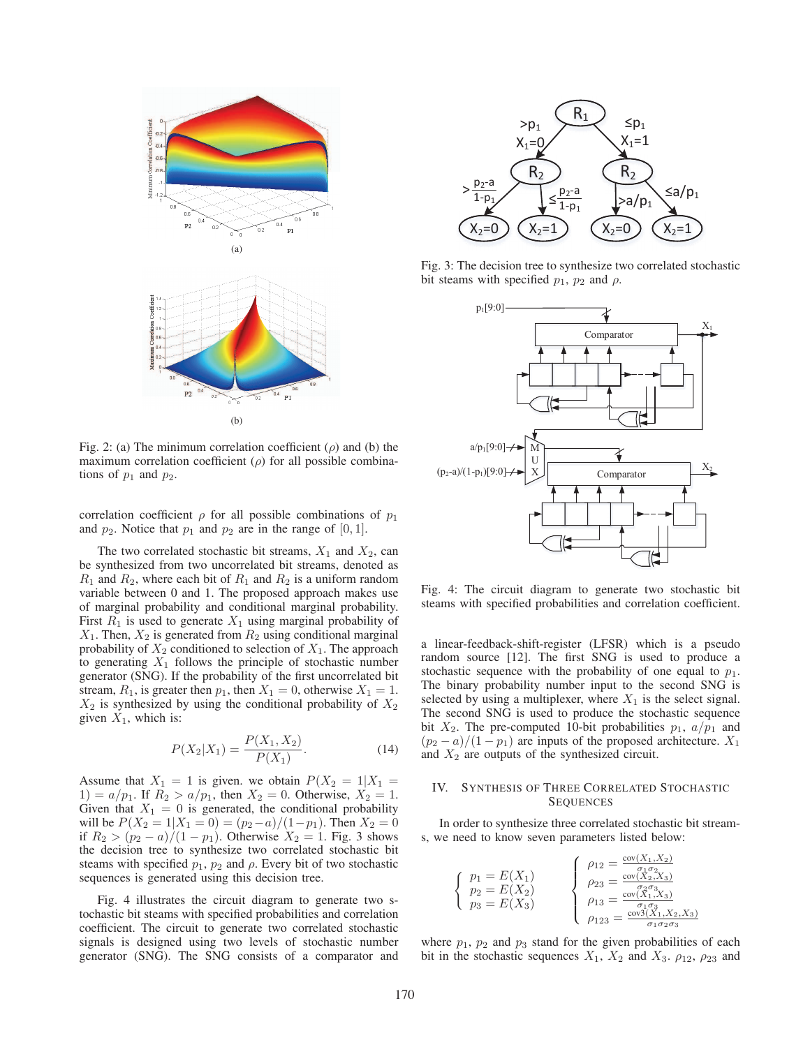

Fig. 2: (a) The minimum correlation coefficient  $(\rho)$  and (b) the maximum correlation coefficient  $(\rho)$  for all possible combinations of  $p_1$  and  $p_2$ .

correlation coefficient  $\rho$  for all possible combinations of  $p_1$ and  $p_2$ . Notice that  $p_1$  and  $p_2$  are in the range of  $[0, 1]$ .

The two correlated stochastic bit streams,  $X_1$  and  $X_2$ , can be synthesized from two uncorrelated bit streams, denoted as  $R_1$  and  $R_2$ , where each bit of  $R_1$  and  $R_2$  is a uniform random variable between 0 and 1. The proposed approach makes use of marginal probability and conditional marginal probability. First  $R_1$  is used to generate  $X_1$  using marginal probability of  $X_1$ . Then,  $X_2$  is generated from  $R_2$  using conditional marginal probability of  $X_2$  conditioned to selection of  $X_1$ . The approach to generating  $X_1$  follows the principle of stochastic number generator (SNG). If the probability of the first uncorrelated bit stream,  $R_1$ , is greater then  $p_1$ , then  $X_1 = 0$ , otherwise  $X_1 = 1$ .  $X_2$  is synthesized by using the conditional probability of  $X_2$ given  $X_1$ , which is:

$$
P(X_2|X_1) = \frac{P(X_1, X_2)}{P(X_1)}.
$$
\n(14)

Assume that  $X_1 = 1$  is given. we obtain  $P(X_2 = 1 | X_1 =$ 1) =  $a/p_1$ . If  $R_2 > a/p_1$ , then  $X_2 = 0$ . Otherwise,  $X_2 = 1$ . Given that  $X_1 = 0$  is generated, the conditional probability will be  $P(X_2 = 1 | X_1 = 0) = (p_2 - a)/(1 - p_1)$ . Then  $X_2 = 0$ if *R*<sub>2</sub> >  $(p_2 − a)/(1 − p_1)$ . Otherwise *X*<sub>2</sub> = 1. Fig. 3 shows the decision tree to synthesize two correlated stochastic bit steams with specified  $p_1$ ,  $p_2$  and  $\rho$ . Every bit of two stochastic sequences is generated using this decision tree.

Fig. 4 illustrates the circuit diagram to generate two stochastic bit steams with specified probabilities and correlation coefficient. The circuit to generate two correlated stochastic signals is designed using two levels of stochastic number generator (SNG). The SNG consists of a comparator and



Fig. 3: The decision tree to synthesize two correlated stochastic bit steams with specified  $p_1$ ,  $p_2$  and  $\rho$ .



Fig. 4: The circuit diagram to generate two stochastic bit steams with specified probabilities and correlation coefficient.

a linear-feedback-shift-register (LFSR) which is a pseudo random source [12]. The first SNG is used to produce a stochastic sequence with the probability of one equal to  $p_1$ . The binary probability number input to the second SNG is selected by using a multiplexer, where  $X_1$  is the select signal. The second SNG is used to produce the stochastic sequence bit  $X_2$ . The pre-computed 10-bit probabilities  $p_1$ ,  $a/p_1$  and  $(p_2 - a)/(1 - p_1)$  are inputs of the proposed architecture.  $X_1$ and *X*<sup>2</sup> are outputs of the synthesized circuit.

# IV. SYNTHESIS OF THREE CORRELATED STOCHASTIC SEQUENCES

In order to synthesize three correlated stochastic bit streams, we need to know seven parameters listed below:

$$
\begin{cases}\n p_1 = E(X_1) \\
 p_2 = E(X_2) \\
 p_3 = E(X_3)\n\end{cases}\n\qquad\n\begin{cases}\n \rho_{12} = \frac{\text{cov}(X_1, X_2)}{\sigma_1 \sigma_2} \\
 \rho_{23} = \frac{\text{cov}(X_2, X_3)}{\sigma_2 \sigma_3} \\
 \rho_{13} = \frac{\text{cov}(X_1, X_2)}{\sigma_1 \sigma_3} \\
 \rho_{123} = \frac{\text{cov}(X_1, X_2, X_3)}{\sigma_1 \sigma_2 \sigma_3}\n\end{cases}
$$

where  $p_1$ ,  $p_2$  and  $p_3$  stand for the given probabilities of each bit in the stochastic sequences  $X_1$ ,  $X_2$  and  $X_3$ .  $\rho_{12}$ ,  $\rho_{23}$  and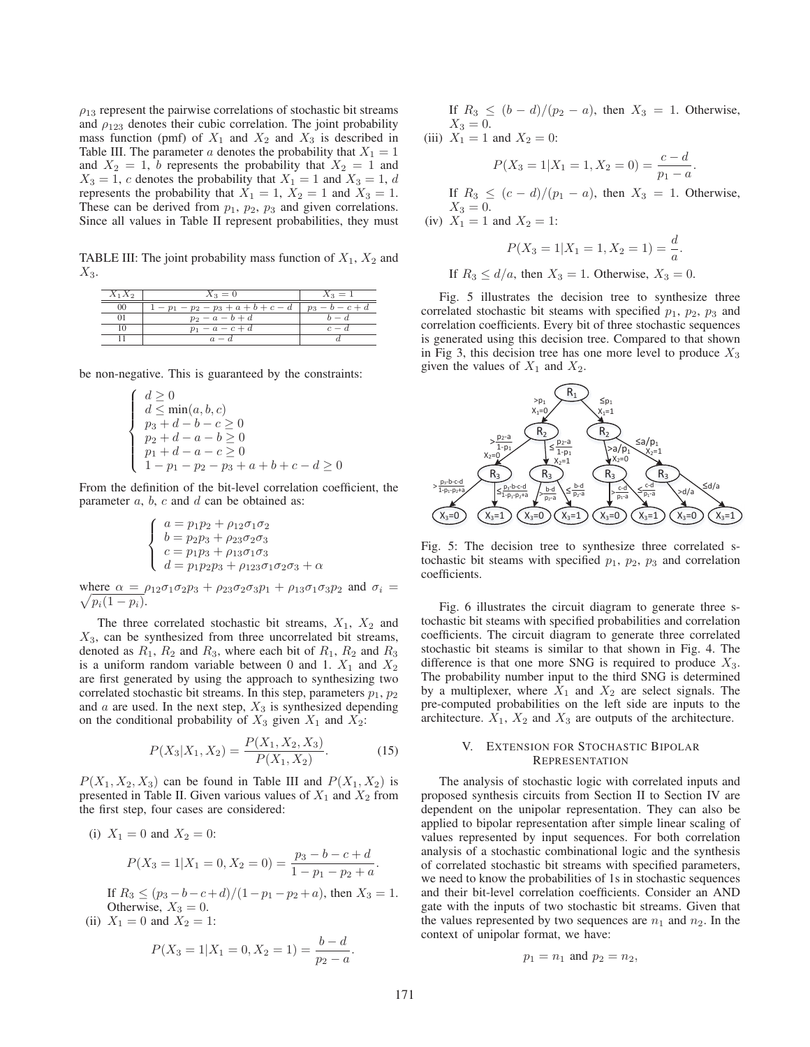$\rho_{13}$  represent the pairwise correlations of stochastic bit streams and  $\rho_{123}$  denotes their cubic correlation. The joint probability mass function (pmf) of  $X_1$  and  $X_2$  and  $X_3$  is described in Table III. The parameter *a* denotes the probability that  $X_1 = 1$ and  $X_2 = 1$ , *b* represents the probability that  $X_2 = 1$  and  $X_3 = 1$ , *c* denotes the probability that  $X_1 = 1$  and  $X_3 = 1$ , *d* represents the probability that  $X_1 = 1$ ,  $X_2 = 1$  and  $X_3 = 1$ . These can be derived from  $p_1$ ,  $p_2$ ,  $p_3$  and given correlations. Since all values in Table II represent probabilities, they must

TABLE III: The joint probability mass function of  $X_1, X_2$  and *X*3.

| $X_1X_2$ | $X_3 = 0$               | $X_3 = 1$         |
|----------|-------------------------|-------------------|
| $^{00}$  | $1-p_1-p_2-p_3+a+b+c-d$ | $p_3 - b - c + d$ |
|          | $p_2 - a - b + d$       | $b-d$             |
|          | $p_1 - a - c + d$       | $c-d$             |
|          | $a-d$                   |                   |

be non-negative. This is guaranteed by the constraints:

$$
\left\{\begin{array}{l} d\geq 0\\ d\leq \min(a,b,c)\\ p_3+d-b-c\geq 0\\ p_2+d-a-b\geq 0\\ p_1+d-a-c\geq 0\\ 1-p_1-p_2-p_3+a+b+c-d\geq 0 \end{array}\right.
$$

From the definition of the bit-level correlation coefficient, the parameter *a*, *b*, *c* and *d* can be obtained as:

$$
\begin{cases}\na = p_1 p_2 + \rho_{12} \sigma_1 \sigma_2 \\
b = p_2 p_3 + \rho_{23} \sigma_2 \sigma_3 \\
c = p_1 p_3 + \rho_{13} \sigma_1 \sigma_3 \\
d = p_1 p_2 p_3 + \rho_{123} \sigma_1 \sigma_2 \sigma_3 + \alpha\n\end{cases}
$$

where  $\alpha = \rho_{12}\sigma_1\sigma_2p_3 + \rho_{23}\sigma_2\sigma_3p_1 + \rho_{13}\sigma_1\sigma_3p_2$  and  $\sigma_i = \sqrt{n_i(1-n_i)}$  $p_i(1-p_i)$ .

The three correlated stochastic bit streams, *X*1, *X*<sup>2</sup> and *X*3, can be synthesized from three uncorrelated bit streams, denoted as  $R_1$ ,  $R_2$  and  $R_3$ , where each bit of  $R_1$ ,  $R_2$  and  $R_3$ is a uniform random variable between 0 and 1.  $X_1$  and  $X_2$ are first generated by using the approach to synthesizing two correlated stochastic bit streams. In this step, parameters  $p_1, p_2$ and  $a$  are used. In the next step,  $X_3$  is synthesized depending on the conditional probability of  $X_3$  given  $X_1$  and  $X_2$ :

$$
P(X_3|X_1, X_2) = \frac{P(X_1, X_2, X_3)}{P(X_1, X_2)}.
$$
 (15)

 $P(X_1, X_2, X_3)$  can be found in Table III and  $P(X_1, X_2)$  is presented in Table II. Given various values of  $X_1$  and  $X_2$  from the first step, four cases are considered:

(i) 
$$
X_1 = 0
$$
 and  $X_2 = 0$ :  

$$
P(X_3 = 1 | X_1 = 0, X_2 = 0) = \frac{p_3 - b - c + d}{1 - p_1 - p_2 + a}.
$$

If  $R_3$  ≤  $(p_3 - b - c + d)/(1 - p_1 - p_2 + a)$ , then  $X_3 = 1$ . Otherwise,  $X_3 = 0$ .

(ii)  $X_1 = 0$  and  $X_2 = 1$ :

$$
P(X_3 = 1 | X_1 = 0, X_2 = 1) = \frac{b - d}{p_2 - a}.
$$

If  $R_3$  ≤  $(b - d)/(p_2 - a)$ , then  $X_3 = 1$ . Otherwise,  $X_3 = 0.$ 

(iii)  $X_1 = 1$  and  $X_2 = 0$ :

$$
P(X_3 = 1 | X_1 = 1, X_2 = 0) = \frac{c - d}{p_1 - a}.
$$

*a .*

If  $R_3$  ≤  $(c - d)/(p_1 - a)$ , then  $X_3 = 1$ . Otherwise,  $X_3 = 0.$ (iv)  $X_1 = 1$  and  $X_2 = 1$ :

$$
P(X_3 = 1 | X_1 = 1, X_2 = 1) = \frac{d}{a}
$$

If  $R_3 \le d/a$ , then  $X_3 = 1$ . Otherwise,  $X_3 = 0$ .

Fig. 5 illustrates the decision tree to synthesize three correlated stochastic bit steams with specified *p*1, *p*2, *p*<sup>3</sup> and correlation coefficients. Every bit of three stochastic sequences is generated using this decision tree. Compared to that shown in Fig 3, this decision tree has one more level to produce *X*<sup>3</sup> given the values of  $X_1$  and  $X_2$ .



Fig. 5: The decision tree to synthesize three correlated stochastic bit steams with specified  $p_1$ ,  $p_2$ ,  $p_3$  and correlation coefficients.

Fig. 6 illustrates the circuit diagram to generate three stochastic bit steams with specified probabilities and correlation coefficients. The circuit diagram to generate three correlated stochastic bit steams is similar to that shown in Fig. 4. The difference is that one more SNG is required to produce *X*3. The probability number input to the third SNG is determined by a multiplexer, where  $X_1$  and  $X_2$  are select signals. The pre-computed probabilities on the left side are inputs to the architecture.  $X_1$ ,  $X_2$  and  $X_3$  are outputs of the architecture.

## V. EXTENSION FOR STOCHASTIC BIPOLAR **REPRESENTATION**

The analysis of stochastic logic with correlated inputs and proposed synthesis circuits from Section II to Section IV are dependent on the unipolar representation. They can also be applied to bipolar representation after simple linear scaling of values represented by input sequences. For both correlation analysis of a stochastic combinational logic and the synthesis of correlated stochastic bit streams with specified parameters, we need to know the probabilities of 1s in stochastic sequences and their bit-level correlation coefficients. Consider an AND gate with the inputs of two stochastic bit streams. Given that the values represented by two sequences are  $n_1$  and  $n_2$ . In the context of unipolar format, we have:

$$
p_1 = n_1
$$
 and  $p_2 = n_2$ ,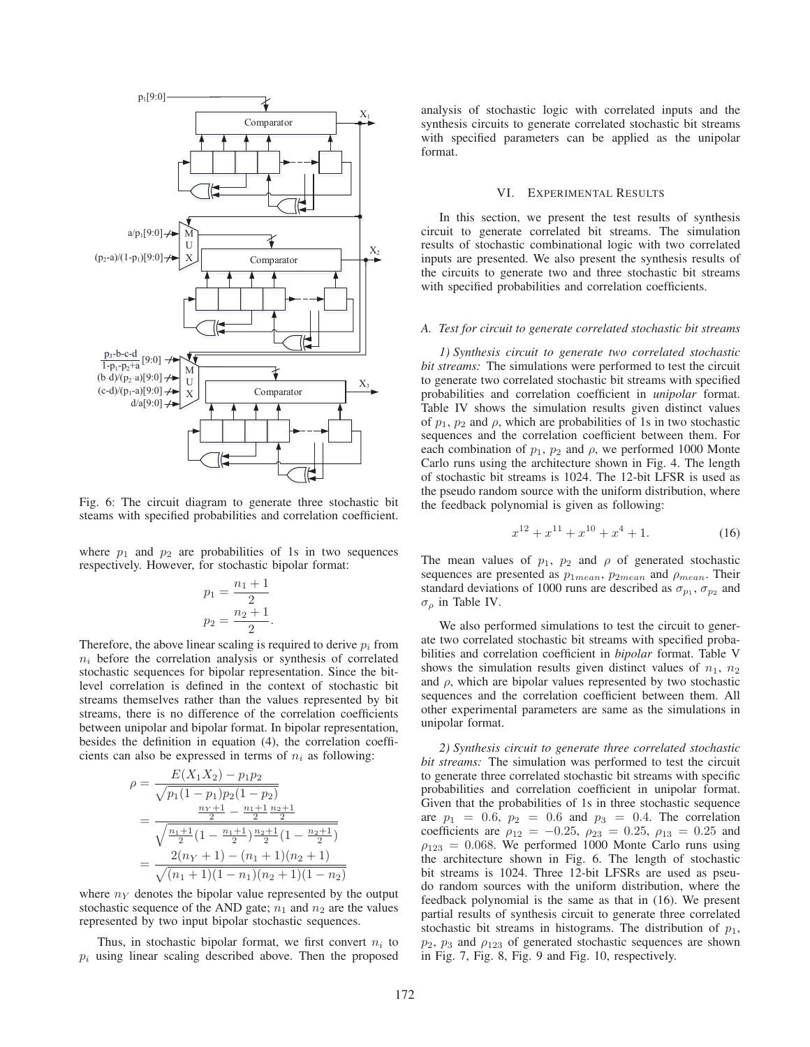

Fig. 6: The circuit diagram to generate three stochastic bit steams with specified probabilities and correlation coefficient.

where  $p_1$  and  $p_2$  are probabilities of 1s in two sequences respectively. However, for stochastic bipolar format:

$$
p_1 = \frac{n_1 + 1}{2}
$$

$$
p_2 = \frac{n_2 + 1}{2}.
$$

Therefore, the above linear scaling is required to derive  $p_i$  from  $n_i$  before the correlation analysis or synthesis of correlated stochastic sequences for bipolar representation. Since the bitlevel correlation is defined in the context of stochastic bit streams themselves rather than the values represented by bit streams, there is no difference of the correlation coefficients between unipolar and bipolar format. In bipolar representation, besides the definition in equation (4), the correlation coefficients can also be expressed in terms of  $n_i$  as following:

$$
\rho = \frac{E(X_1X_2) - p_1p_2}{\sqrt{p_1(1-p_1)p_2(1-p_2)}}
$$
  
= 
$$
\frac{\frac{n_Y+1}{2} - \frac{n_1+1}{2} \frac{n_2+1}{2}}{\sqrt{\frac{n_1+1}{2}(1-\frac{n_1+1}{2}) \frac{n_2+1}{2}(1-\frac{n_2+1}{2})}}
$$
  
= 
$$
\frac{2(n_Y+1) - (n_1+1)(n_2+1)}{\sqrt{(n_1+1)(1-n_1)(n_2+1)(1-n_2)}}
$$

where  $n<sub>Y</sub>$  denotes the bipolar value represented by the output stochastic sequence of the AND gate;  $n_1$  and  $n_2$  are the values represented by two input bipolar stochastic sequences.

Thus, in stochastic bipolar format, we first convert  $n_i$  to  $p_i$  using linear scaling described above. Then the proposed analysis of stochastic logic with correlated inputs and the synthesis circuits to generate correlated stochastic bit streams with specified parameters can be applied as the unipolar format.

## VI. EXPERIMENTAL RESULTS

In this section, we present the test results of synthesis circuit to generate correlated bit streams. The simulation results of stochastic combinational logic with two correlated inputs are presented. We also present the synthesis results of the circuits to generate two and three stochastic bit streams with specified probabilities and correlation coefficients.

## *A. Test for circuit to generate correlated stochastic bit streams*

*1) Synthesis circuit to generate two correlated stochastic bit streams:* The simulations were performed to test the circuit to generate two correlated stochastic bit streams with specified probabilities and correlation coefficient in *unipolar* format. Table IV shows the simulation results given distinct values of  $p_1$ ,  $p_2$  and  $\rho$ , which are probabilities of 1s in two stochastic sequences and the correlation coefficient between them. For each combination of  $p_1$ ,  $p_2$  and  $\rho$ , we performed 1000 Monte Carlo runs using the architecture shown in Fig. 4. The length of stochastic bit streams is 1024. The 12-bit LFSR is used as the pseudo random source with the uniform distribution, where the feedback polynomial is given as following:

$$
x^{12} + x^{11} + x^{10} + x^4 + 1.
$$
 (16)

The mean values of  $p_1$ ,  $p_2$  and  $\rho$  of generated stochastic sequences are presented as *p*1*mean*, *p*2*mean* and ρ*mean*. Their standard deviations of 1000 runs are described as  $\sigma_{p_1}$ ,  $\sigma_{p_2}$  and σ<sup>ρ</sup> in Table IV.

We also performed simulations to test the circuit to generate two correlated stochastic bit streams with specified probabilities and correlation coefficient in *bipolar* format. Table V shows the simulation results given distinct values of  $n_1$ ,  $n_2$ and  $\rho$ , which are bipolar values represented by two stochastic sequences and the correlation coefficient between them. All other experimental parameters are same as the simulations in unipolar format.

*2) Synthesis circuit to generate three correlated stochastic bit streams:* The simulation was performed to test the circuit to generate three correlated stochastic bit streams with specific probabilities and correlation coefficient in unipolar format. Given that the probabilities of 1s in three stochastic sequence are  $p_1 = 0.6$ ,  $p_2 = 0.6$  and  $p_3 = 0.4$ . The correlation coefficients are  $\rho_{12} = -0.25$ ,  $\rho_{23} = 0.25$ ,  $\rho_{13} = 0.25$  and  $\rho_{123} = 0.068$ . We performed 1000 Monte Carlo runs using the architecture shown in Fig. 6. The length of stochastic bit streams is 1024. Three 12-bit LFSRs are used as pseudo random sources with the uniform distribution, where the feedback polynomial is the same as that in (16). We present partial results of synthesis circuit to generate three correlated stochastic bit streams in histograms. The distribution of *p*1,  $p_2$ ,  $p_3$  and  $\rho_{123}$  of generated stochastic sequences are shown in Fig. 7, Fig. 8, Fig. 9 and Fig. 10, respectively.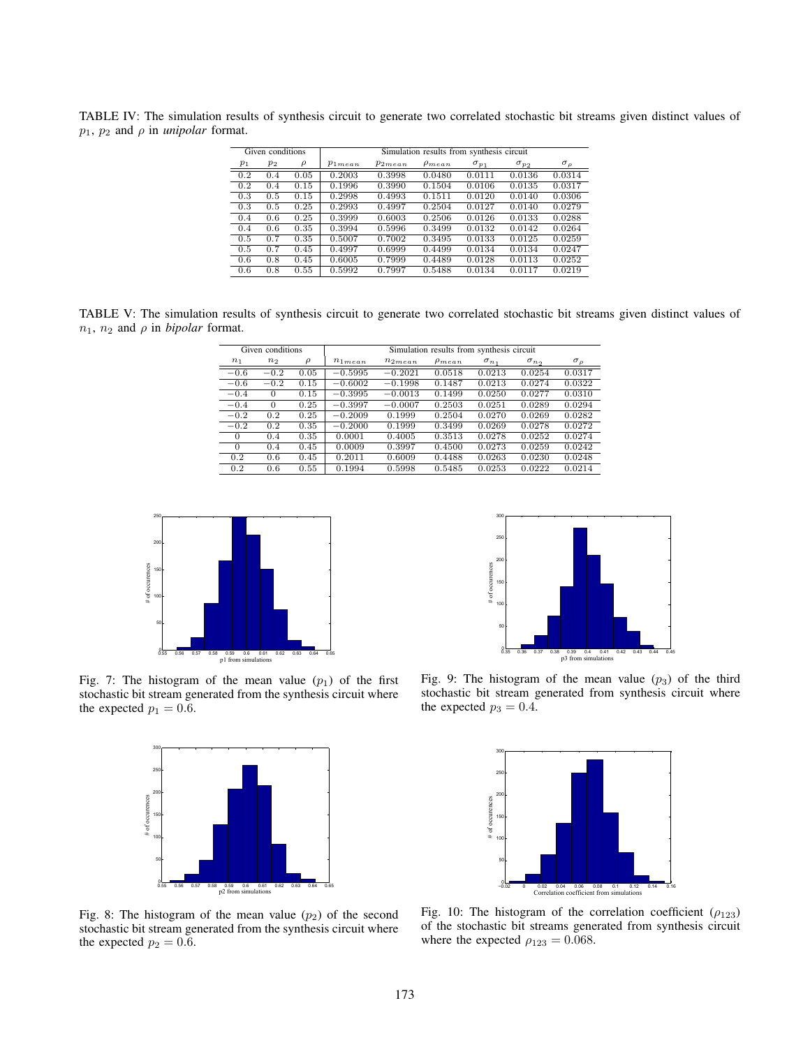TABLE IV: The simulation results of synthesis circuit to generate two correlated stochastic bit streams given distinct values of  $p_1$ ,  $p_2$  and  $\rho$  in *unipolar* format.

|       | Given conditions |        | Simulation results from synthesis circuit |             |               |                |                |                 |
|-------|------------------|--------|-------------------------------------------|-------------|---------------|----------------|----------------|-----------------|
| $p_1$ | $p_2$            | $\rho$ | $p_{1mean}$                               | $p_{2mean}$ | $\rho_{mean}$ | $\sigma_{p_1}$ | $\sigma_{p_2}$ | $\sigma_{\rho}$ |
| 0.2   | 0.4              | 0.05   | 0.2003                                    | 0.3998      | 0.0480        | 0.0111         | 0.0136         | 0.0314          |
| 0.2   | 0.4              | 0.15   | 0.1996                                    | 0.3990      | 0.1504        | 0.0106         | 0.0135         | 0.0317          |
| 0.3   | 0.5              | 0.15   | 0.2998                                    | 0.4993      | 0.1511        | 0.0120         | 0.0140         | 0.0306          |
| 0.3   | 0.5              | 0.25   | 0.2993                                    | 0.4997      | 0.2504        | 0.0127         | 0.0140         | 0.0279          |
| 0.4   | 0.6              | 0.25   | 0.3999                                    | 0.6003      | 0.2506        | 0.0126         | 0.0133         | 0.0288          |
| 0.4   | 0.6              | 0.35   | 0.3994                                    | 0.5996      | 0.3499        | 0.0132         | 0.0142         | 0.0264          |
| 0.5   | 0.7              | 0.35   | 0.5007                                    | 0.7002      | 0.3495        | 0.0133         | 0.0125         | 0.0259          |
| 0.5   | 0.7              | 0.45   | 0.4997                                    | 0.6999      | 0.4499        | 0.0134         | 0.0134         | 0.0247          |
| 0.6   | 0.8              | 0.45   | 0.6005                                    | 0.7999      | 0.4489        | 0.0128         | 0.0113         | 0.0252          |
| 0.6   | 0.8              | 0.55   | 0.5992                                    | 0.7997      | 0.5488        | 0.0134         | 0.0117         | 0.0219          |

TABLE V: The simulation results of synthesis circuit to generate two correlated stochastic bit streams given distinct values of  $n_1$ ,  $n_2$  and  $\rho$  in *bipolar* format.

| Given conditions |                | Simulation results from synthesis circuit |             |             |               |                |              |                 |
|------------------|----------------|-------------------------------------------|-------------|-------------|---------------|----------------|--------------|-----------------|
| $n_1$            | n <sub>2</sub> | ρ                                         | $n_{1mean}$ | $n_{2mean}$ | $\rho_{mean}$ | $\sigma_{n_1}$ | $\sigma_{n}$ | $\sigma_{\rho}$ |
| $-0.6$           | $-0.2$         | 0.05                                      | $-0.5995$   | $-0.2021$   | 0.0518        | 0.0213         | 0.0254       | 0.0317          |
| $-0.6$           | $-0.2$         | 0.15                                      | $-0.6002$   | $-0.1998$   | 0.1487        | 0.0213         | 0.0274       | 0.0322          |
| $-0.4$           | $\Omega$       | 0.15                                      | $-0.3995$   | $-0.0013$   | 0.1499        | 0.0250         | 0.0277       | 0.0310          |
| $-0.4$           | $\Omega$       | 0.25                                      | $-0.3997$   | $-0.0007$   | 0.2503        | 0.0251         | 0.0289       | 0.0294          |
| $-0.2$           | 0.2            | 0.25                                      | $-0.2009$   | 0.1999      | 0.2504        | 0.0270         | 0.0269       | 0.0282          |
| $-0.2$           | 0.2            | 0.35                                      | $-0.2000$   | 0.1999      | 0.3499        | 0.0269         | 0.0278       | 0.0272          |
| $\Omega$         | 0.4            | 0.35                                      | 0.0001      | 0.4005      | 0.3513        | 0.0278         | 0.0252       | 0.0274          |
| $\Omega$         | 0.4            | 0.45                                      | 0.0009      | 0.3997      | 0.4500        | 0.0273         | 0.0259       | 0.0242          |
| 0.2              | 0.6            | 0.45                                      | 0.2011      | 0.6009      | 0.4488        | 0.0263         | 0.0230       | 0.0248          |
| 0.2              | 0.6            | 0.55                                      | 0.1994      | 0.5998      | 0.5485        | 0.0253         | 0.0222       | 0.0214          |



Fig. 7: The histogram of the mean value  $(p_1)$  of the first stochastic bit stream generated from the synthesis circuit where the expected  $p_1 = 0.6$ .



0.35 0.36 0.37 0.38 0.39 0.4 0.41 0.42 0.43 0.44 0.45<br>p3 from simulations 50 100 150 200 250 300 # of occurences

Fig. 9: The histogram of the mean value  $(p_3)$  of the third stochastic bit stream generated from synthesis circuit where the expected  $p_3 = 0.4$ .



Fig. 8: The histogram of the mean value  $(p_2)$  of the second stochastic bit stream generated from the synthesis circuit where the expected  $p_2 = 0.6$ .

Fig. 10: The histogram of the correlation coefficient ( $\rho_{123}$ ) of the stochastic bit streams generated from synthesis circuit where the expected  $\rho_{123} = 0.068$ .